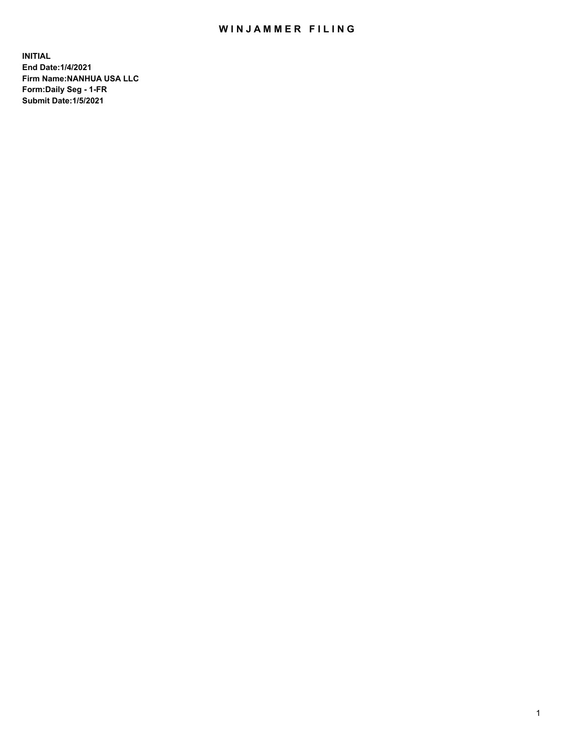## WIN JAMMER FILING

**INITIAL End Date:1/4/2021 Firm Name:NANHUA USA LLC Form:Daily Seg - 1-FR Submit Date:1/5/2021**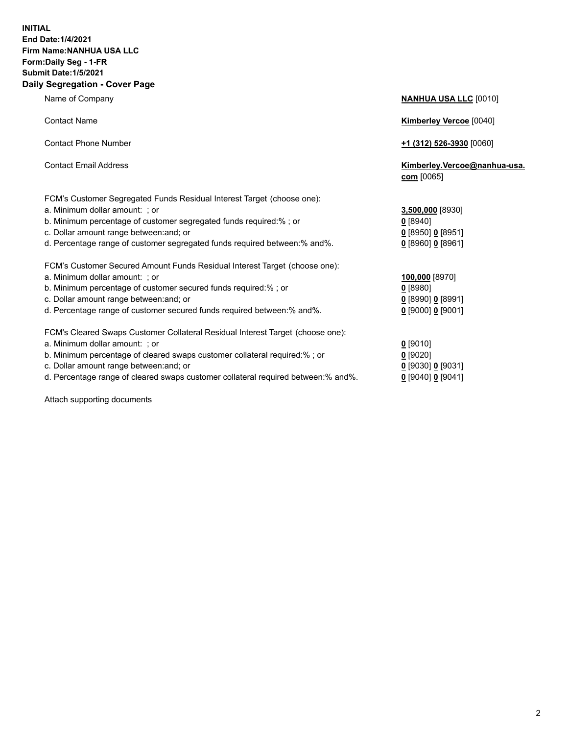## **INITIAL End Date:1/4/2021 Firm Name:NANHUA USA LLC Form:Daily Seg - 1-FR Submit Date:1/5/2021 Daily Segregation - Cover Page**

Name of Company **NANHUA USA LLC** [0010] Contact Name **Kimberley Vercoe** [0040] Contact Phone Number **+1 (312) 526-3930** [0060] Contact Email Address **Kimberley.Vercoe@nanhua-usa. com** [0065] FCM's Customer Segregated Funds Residual Interest Target (choose one): a. Minimum dollar amount: ; or **3,500,000** [8930] b. Minimum percentage of customer segregated funds required:% ; or **0** [8940] c. Dollar amount range between:and; or **0** [8950] **0** [8951] d. Percentage range of customer segregated funds required between:% and%. **0** [8960] **0** [8961] FCM's Customer Secured Amount Funds Residual Interest Target (choose one): a. Minimum dollar amount: ; or **100,000** [8970] b. Minimum percentage of customer secured funds required:% ; or **0** [8980] c. Dollar amount range between:and; or **0** [8990] **0** [8991] d. Percentage range of customer secured funds required between:% and%. **0** [9000] **0** [9001] FCM's Cleared Swaps Customer Collateral Residual Interest Target (choose one): a. Minimum dollar amount: ; or **0** [9010] b. Minimum percentage of cleared swaps customer collateral required:% ; or **0** [9020]

- 
- d. Percentage range of cleared swaps customer collateral required between:% and%. **0** [9040] **0** [9041]

Attach supporting documents

| b. Minimum percentage of customer segregated funds required:% ; or<br>c. Dollar amount range between: and; or<br>d. Percentage range of customer segregated funds required between: % and %. | 0 [8940]<br>$0$ [8950] 0 [8951]<br>$0$ [8960] 0 [8961] |  |
|----------------------------------------------------------------------------------------------------------------------------------------------------------------------------------------------|--------------------------------------------------------|--|
| FCM's Customer Secured Amount Funds Residual Interest Target (choose one):                                                                                                                   |                                                        |  |
| a. Minimum dollar amount: : or                                                                                                                                                               | 100,000 [8970]                                         |  |
| b. Minimum percentage of customer secured funds required:%; or                                                                                                                               | $0$ [8980]                                             |  |
| c. Dollar amount range between: and; or                                                                                                                                                      | $0$ [8990] 0 [8991]                                    |  |
| d. Percentage range of customer secured funds required between: % and %.                                                                                                                     | $0$ [9000] 0 [9001]                                    |  |
| FCM's Cleared Swaps Customer Collateral Residual Interest Target (choose one):                                                                                                               |                                                        |  |
| a. Minimum dollar amount: ; or                                                                                                                                                               | $0$ [9010]                                             |  |
| b. Minimum percentage of cleared swaps customer collateral required:%; or                                                                                                                    | $0$ [9020]                                             |  |
| c. Dollar amount range between: and; or                                                                                                                                                      | $0$ [9030] 0 [9031]                                    |  |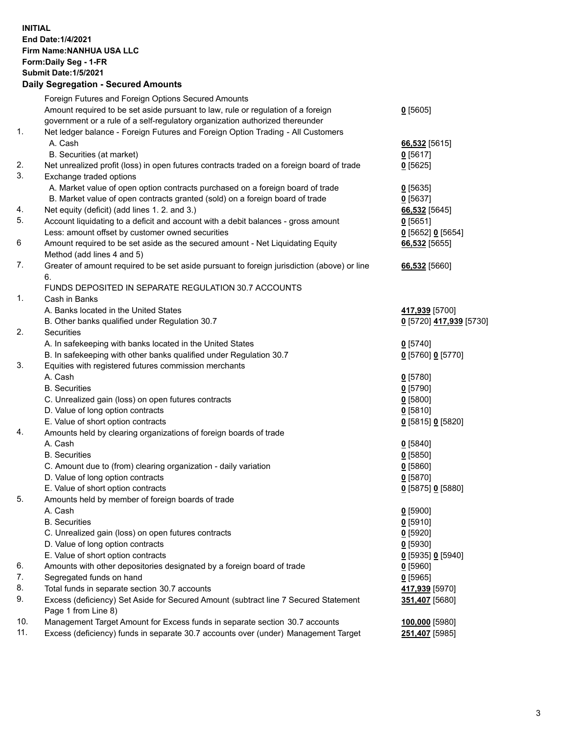## **INITIAL End Date:1/4/2021 Firm Name:NANHUA USA LLC Form:Daily Seg - 1-FR Submit Date:1/5/2021 Daily Segregation - Secured Amounts**

|          | Foreign Futures and Foreign Options Secured Amounts                                         |                                           |
|----------|---------------------------------------------------------------------------------------------|-------------------------------------------|
|          | Amount required to be set aside pursuant to law, rule or regulation of a foreign            | $0$ [5605]                                |
|          | government or a rule of a self-regulatory organization authorized thereunder                |                                           |
| 1.       | Net ledger balance - Foreign Futures and Foreign Option Trading - All Customers             |                                           |
|          | A. Cash                                                                                     | 66,532 [5615]                             |
|          | B. Securities (at market)                                                                   | $0$ [5617]                                |
| 2.       | Net unrealized profit (loss) in open futures contracts traded on a foreign board of trade   | $0$ [5625]                                |
| 3.       | Exchange traded options                                                                     |                                           |
|          | A. Market value of open option contracts purchased on a foreign board of trade              | $0$ [5635]                                |
|          | B. Market value of open contracts granted (sold) on a foreign board of trade                | $0$ [5637]                                |
| 4.<br>5. | Net equity (deficit) (add lines 1. 2. and 3.)                                               | 66,532 [5645]                             |
|          | Account liquidating to a deficit and account with a debit balances - gross amount           | $0$ [5651]                                |
|          | Less: amount offset by customer owned securities                                            | $Q$ [5652] $Q$ [5654]                     |
| 6        | Amount required to be set aside as the secured amount - Net Liquidating Equity              | 66,532 [5655]                             |
| 7.       | Method (add lines 4 and 5)                                                                  |                                           |
|          | Greater of amount required to be set aside pursuant to foreign jurisdiction (above) or line | 66,532 [5660]                             |
|          | 6.                                                                                          |                                           |
| 1.       | FUNDS DEPOSITED IN SEPARATE REGULATION 30.7 ACCOUNTS                                        |                                           |
|          | Cash in Banks<br>A. Banks located in the United States                                      |                                           |
|          | B. Other banks qualified under Regulation 30.7                                              | 417,939 [5700]<br>0 [5720] 417,939 [5730] |
| 2.       | Securities                                                                                  |                                           |
|          | A. In safekeeping with banks located in the United States                                   | $0$ [5740]                                |
|          | B. In safekeeping with other banks qualified under Regulation 30.7                          | 0 [5760] 0 [5770]                         |
| 3.       | Equities with registered futures commission merchants                                       |                                           |
|          | A. Cash                                                                                     | $0$ [5780]                                |
|          | <b>B.</b> Securities                                                                        | $0$ [5790]                                |
|          | C. Unrealized gain (loss) on open futures contracts                                         | $0$ [5800]                                |
|          | D. Value of long option contracts                                                           | $0$ [5810]                                |
|          | E. Value of short option contracts                                                          | 0 [5815] 0 [5820]                         |
| 4.       | Amounts held by clearing organizations of foreign boards of trade                           |                                           |
|          | A. Cash                                                                                     | $0$ [5840]                                |
|          | <b>B.</b> Securities                                                                        | $0$ [5850]                                |
|          | C. Amount due to (from) clearing organization - daily variation                             | $0$ [5860]                                |
|          | D. Value of long option contracts                                                           | $0$ [5870]                                |
|          | E. Value of short option contracts                                                          | 0 [5875] 0 [5880]                         |
| 5.       | Amounts held by member of foreign boards of trade                                           |                                           |
|          | A. Cash                                                                                     | $0$ [5900]                                |
|          | <b>B.</b> Securities                                                                        | $0$ [5910]                                |
|          | C. Unrealized gain (loss) on open futures contracts                                         | $0$ [5920]                                |
|          | D. Value of long option contracts                                                           | $0$ [5930]                                |
|          | E. Value of short option contracts                                                          | 0 [5935] 0 [5940]                         |
| 6.       | Amounts with other depositories designated by a foreign board of trade                      | $0$ [5960]                                |
| 7.       | Segregated funds on hand                                                                    | $0$ [5965]                                |
| 8.       | Total funds in separate section 30.7 accounts                                               | 417,939 [5970]                            |
| 9.       | Excess (deficiency) Set Aside for Secured Amount (subtract line 7 Secured Statement         | 351,407 [5680]                            |
|          | Page 1 from Line 8)                                                                         |                                           |
| 10.      | Management Target Amount for Excess funds in separate section 30.7 accounts                 | 100,000 [5980]                            |
| 11.      | Excess (deficiency) funds in separate 30.7 accounts over (under) Management Target          | 251,407 [5985]                            |
|          |                                                                                             |                                           |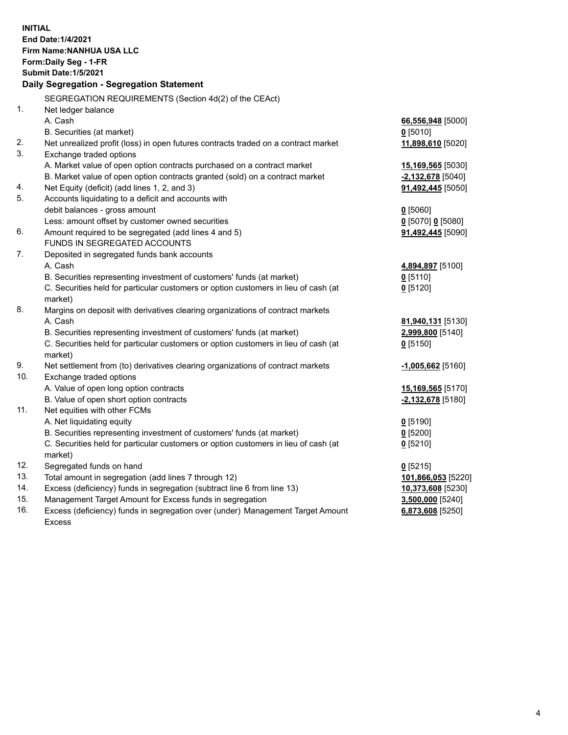| <b>INITIAL</b> |                                                                                                                                     |                              |  |  |  |  |
|----------------|-------------------------------------------------------------------------------------------------------------------------------------|------------------------------|--|--|--|--|
|                | End Date: 1/4/2021                                                                                                                  |                              |  |  |  |  |
|                | Firm Name: NANHUA USA LLC                                                                                                           |                              |  |  |  |  |
|                | Form: Daily Seg - 1-FR                                                                                                              |                              |  |  |  |  |
|                | <b>Submit Date: 1/5/2021</b>                                                                                                        |                              |  |  |  |  |
|                | Daily Segregation - Segregation Statement                                                                                           |                              |  |  |  |  |
|                | SEGREGATION REQUIREMENTS (Section 4d(2) of the CEAct)                                                                               |                              |  |  |  |  |
| 1.             | Net ledger balance                                                                                                                  |                              |  |  |  |  |
|                | A. Cash                                                                                                                             | 66,556,948 [5000]            |  |  |  |  |
|                | B. Securities (at market)                                                                                                           | $0$ [5010]                   |  |  |  |  |
| 2.             | Net unrealized profit (loss) in open futures contracts traded on a contract market                                                  | 11,898,610 [5020]            |  |  |  |  |
| 3.             | Exchange traded options                                                                                                             |                              |  |  |  |  |
|                | A. Market value of open option contracts purchased on a contract market                                                             | 15,169,565 [5030]            |  |  |  |  |
|                | B. Market value of open option contracts granted (sold) on a contract market                                                        | $-2,132,678$ [5040]          |  |  |  |  |
| 4.             | Net Equity (deficit) (add lines 1, 2, and 3)                                                                                        | 91,492,445 [5050]            |  |  |  |  |
| 5.             | Accounts liquidating to a deficit and accounts with                                                                                 |                              |  |  |  |  |
|                | debit balances - gross amount                                                                                                       | $0$ [5060]                   |  |  |  |  |
|                | Less: amount offset by customer owned securities                                                                                    | 0 [5070] 0 [5080]            |  |  |  |  |
| 6.             | Amount required to be segregated (add lines 4 and 5)                                                                                | 91,492,445 [5090]            |  |  |  |  |
|                | FUNDS IN SEGREGATED ACCOUNTS                                                                                                        |                              |  |  |  |  |
| 7.             | Deposited in segregated funds bank accounts                                                                                         |                              |  |  |  |  |
|                | A. Cash                                                                                                                             | 4,894,897 [5100]             |  |  |  |  |
|                | B. Securities representing investment of customers' funds (at market)                                                               | $0$ [5110]                   |  |  |  |  |
|                | C. Securities held for particular customers or option customers in lieu of cash (at                                                 | $0$ [5120]                   |  |  |  |  |
|                | market)                                                                                                                             |                              |  |  |  |  |
| 8.             | Margins on deposit with derivatives clearing organizations of contract markets                                                      |                              |  |  |  |  |
|                | A. Cash                                                                                                                             | 81,940,131 [5130]            |  |  |  |  |
|                | B. Securities representing investment of customers' funds (at market)                                                               | 2,999,800 [5140]             |  |  |  |  |
|                | C. Securities held for particular customers or option customers in lieu of cash (at                                                 | $0$ [5150]                   |  |  |  |  |
|                | market)                                                                                                                             |                              |  |  |  |  |
| 9.             | Net settlement from (to) derivatives clearing organizations of contract markets                                                     | -1,005,662 <sub>[5160]</sub> |  |  |  |  |
| 10.            | Exchange traded options                                                                                                             |                              |  |  |  |  |
|                | A. Value of open long option contracts                                                                                              | 15,169,565 [5170]            |  |  |  |  |
|                | B. Value of open short option contracts                                                                                             | -2,132,678 [5180]            |  |  |  |  |
| 11.            | Net equities with other FCMs                                                                                                        |                              |  |  |  |  |
|                | A. Net liquidating equity                                                                                                           | $0$ [5190]                   |  |  |  |  |
|                | B. Securities representing investment of customers' funds (at market)                                                               | $Q$ [5200]                   |  |  |  |  |
|                | C. Securities held for particular customers or option customers in lieu of cash (at                                                 | $0$ [5210]                   |  |  |  |  |
|                | market)                                                                                                                             |                              |  |  |  |  |
| 12.<br>13.     | Segregated funds on hand                                                                                                            | $0$ [5215]                   |  |  |  |  |
| 14.            | Total amount in segregation (add lines 7 through 12)                                                                                | 101,866,053 [5220]           |  |  |  |  |
| 15.            | Excess (deficiency) funds in segregation (subtract line 6 from line 13)<br>Management Target Amount for Excess funds in segregation | 10,373,608 [5230]            |  |  |  |  |
| 16.            | Excess (deficiency) funds in segregation over (under) Management Target Amount                                                      | 3,500,000 [5240]             |  |  |  |  |
|                |                                                                                                                                     | 6,873,608 [5250]             |  |  |  |  |
|                | <b>Excess</b>                                                                                                                       |                              |  |  |  |  |